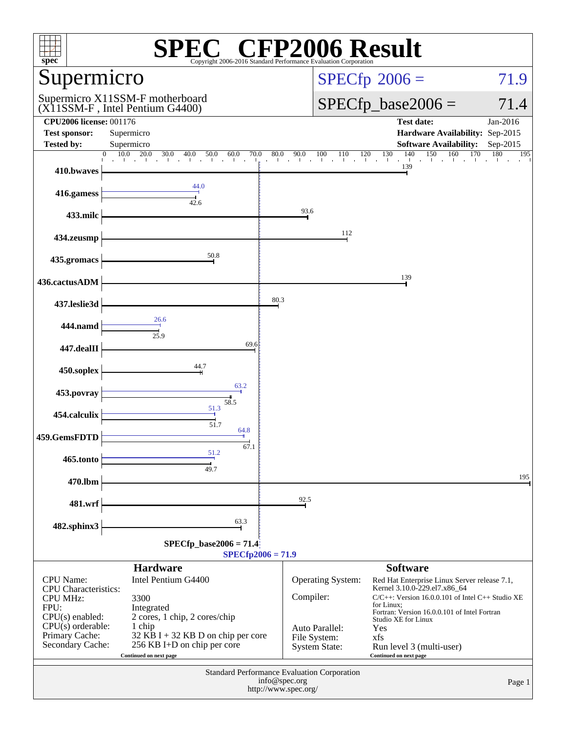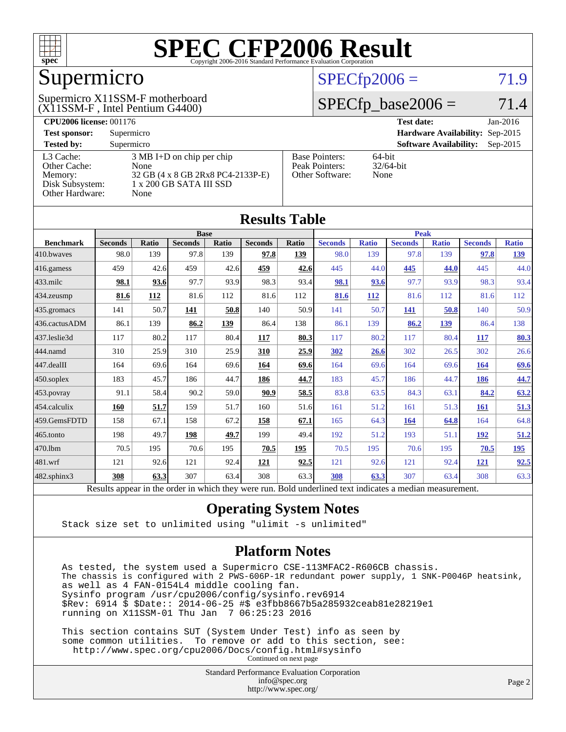

# Supermicro

#### (X11SSM-F , Intel Pentium G4400) Supermicro X11SSM-F motherboard

### $SPECTp2006 = 71.9$

### $SPECfp\_base2006 = 71.4$

| <b>CPU2006 license: 001176</b> |                                     |                       | $Jan-2016$<br><b>Test date:</b>             |
|--------------------------------|-------------------------------------|-----------------------|---------------------------------------------|
| <b>Test sponsor:</b>           | Supermicro                          |                       | Hardware Availability: Sep-2015             |
| <b>Tested by:</b>              | Supermicro                          |                       | <b>Software Availability:</b><br>$Sep-2015$ |
| L3 Cache:                      | $3 \text{ MB I+D}$ on chip per chip | <b>Base Pointers:</b> | $64$ -bit                                   |
| Other Cache:                   | None                                | Peak Pointers:        | $32/64$ -bit                                |
| Memory:                        | 32 GB (4 x 8 GB 2Rx8 PC4-2133P-E)   | Other Software:       | None                                        |
| Disk Subsystem:                | 1 x 200 GB SATA III SSD             |                       |                                             |
| Other Hardware:                | None                                |                       |                                             |

**[Results Table](http://www.spec.org/auto/cpu2006/Docs/result-fields.html#ResultsTable)**

| Results Table     |                                                                                                          |              |                |       |                |             |                |              |                |              |                |              |
|-------------------|----------------------------------------------------------------------------------------------------------|--------------|----------------|-------|----------------|-------------|----------------|--------------|----------------|--------------|----------------|--------------|
|                   | <b>Base</b>                                                                                              |              |                |       |                | <b>Peak</b> |                |              |                |              |                |              |
| <b>Benchmark</b>  | <b>Seconds</b>                                                                                           | <b>Ratio</b> | <b>Seconds</b> | Ratio | <b>Seconds</b> | Ratio       | <b>Seconds</b> | <b>Ratio</b> | <b>Seconds</b> | <b>Ratio</b> | <b>Seconds</b> | <b>Ratio</b> |
| 410.bwayes        | 98.0                                                                                                     | 139          | 97.8           | 139   | 97.8           | 139         | 98.0           | 139          | 97.8           | 139          | 97.8           | <u>139</u>   |
| 416.gamess        | 459                                                                                                      | 42.6         | 459            | 42.6  | 459            | 42.6        | 445            | 44.0         | 445            | 44.0         | 445            | 44.0         |
| $433$ .milc       | 98.1                                                                                                     | 93.6         | 97.7           | 93.9  | 98.3           | 93.4        | 98.1           | 93.6         | 97.7           | 93.9         | 98.3           | 93.4         |
| $434$ . zeusmp    | 81.6                                                                                                     | 112          | 81.6           | 112   | 81.6           | 112         | 81.6           | 112          | 81.6           | 112          | 81.6           | 112          |
| 435.gromacs       | 141                                                                                                      | 50.7         | 141            | 50.8  | 140            | 50.9        | 141            | 50.7         | 141            | 50.8         | 140            | 50.9         |
| 436.cactusADM     | 86.1                                                                                                     | 139          | 86.2           | 139   | 86.4           | 138         | 86.1           | 139          | 86.2           | 139          | 86.4           | 138          |
| 437.leslie3d      | 117                                                                                                      | 80.2         | 117            | 80.4  | 117            | 80.3        | 117            | 80.2         | 117            | 80.4         | 117            | 80.3         |
| 444.namd          | 310                                                                                                      | 25.9         | 310            | 25.9  | 310            | 25.9        | 302            | 26.6         | 302            | 26.5         | 302            | 26.6         |
| $447$ .dealII     | 164                                                                                                      | 69.6         | 164            | 69.6  | 164            | 69.6        | 164            | 69.6         | 164            | 69.6         | 164            | 69.6         |
| $450$ .soplex     | 183                                                                                                      | 45.7         | 186            | 44.7  | 186            | 44.7        | 183            | 45.7         | 186            | 44.7         | 186            | 44.7         |
| $453$ .povray     | 91.1                                                                                                     | 58.4         | 90.2           | 59.0  | 90.9           | 58.5        | 83.8           | 63.5         | 84.3           | 63.1         | 84.2           | 63.2         |
| 454.calculix      | 160                                                                                                      | 51.7         | 159            | 51.7  | 160            | 51.6        | 161            | 51.2         | 161            | 51.3         | 161            | 51.3         |
| 459.GemsFDTD      | 158                                                                                                      | 67.1         | 158            | 67.2  | 158            | 67.1        | 165            | 64.3         | 164            | 64.8         | 164            | 64.8         |
| $465$ .tonto      | 198                                                                                                      | 49.7         | 198            | 49.7  | 199            | 49.4        | 192            | 51.2         | 193            | 51.1         | <u>192</u>     | 51.2         |
| 470.1bm           | 70.5                                                                                                     | 195          | 70.6           | 195   | 70.5           | 195         | 70.5           | 195          | 70.6           | 195          | 70.5           | <u> 195</u>  |
| 481.wrf           | 121                                                                                                      | 92.6         | 121            | 92.4  | 121            | 92.5        | 121            | 92.6         | 121            | 92.4         | <u>121</u>     | 92.5         |
| $482$ .sphinx $3$ | 308                                                                                                      | 63.3         | 307            | 63.4  | 308            | 63.3        | 308            | 63.3         | 307            | 63.4         | 308            | 63.3         |
|                   | Results appear in the order in which they were run. Bold underlined text indicates a median measurement. |              |                |       |                |             |                |              |                |              |                |              |

### **[Operating System Notes](http://www.spec.org/auto/cpu2006/Docs/result-fields.html#OperatingSystemNotes)**

Stack size set to unlimited using "ulimit -s unlimited"

### **[Platform Notes](http://www.spec.org/auto/cpu2006/Docs/result-fields.html#PlatformNotes)**

 As tested, the system used a Supermicro CSE-113MFAC2-R606CB chassis. The chassis is configured with 2 PWS-606P-1R redundant power supply, 1 SNK-P0046P heatsink, as well as 4 FAN-0154L4 middle cooling fan. Sysinfo program /usr/cpu2006/config/sysinfo.rev6914 \$Rev: 6914 \$ \$Date:: 2014-06-25 #\$ e3fbb8667b5a285932ceab81e28219e1 running on X11SSM-01 Thu Jan 7 06:25:23 2016

 This section contains SUT (System Under Test) info as seen by some common utilities. To remove or add to this section, see: <http://www.spec.org/cpu2006/Docs/config.html#sysinfo> Continued on next page

> Standard Performance Evaluation Corporation [info@spec.org](mailto:info@spec.org) <http://www.spec.org/>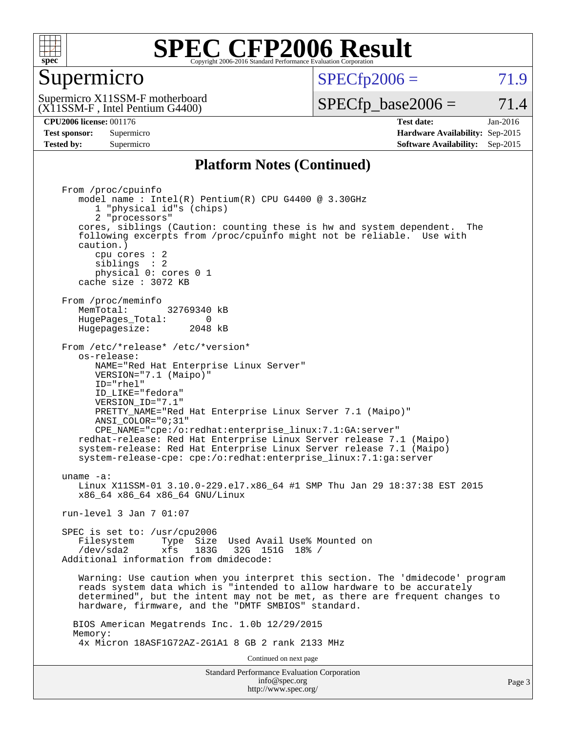

### Supermicro

 $SPECTp2006 = 71.9$ 

(X11SSM-F , Intel Pentium G4400) Supermicro X11SSM-F motherboard  $SPECfp\_base2006 = 71.4$ 

**[CPU2006 license:](http://www.spec.org/auto/cpu2006/Docs/result-fields.html#CPU2006license)** 001176 **[Test date:](http://www.spec.org/auto/cpu2006/Docs/result-fields.html#Testdate)** Jan-2016 **[Test sponsor:](http://www.spec.org/auto/cpu2006/Docs/result-fields.html#Testsponsor)** Supermicro **[Hardware Availability:](http://www.spec.org/auto/cpu2006/Docs/result-fields.html#HardwareAvailability)** Sep-2015

### **[Platform Notes \(Continued\)](http://www.spec.org/auto/cpu2006/Docs/result-fields.html#PlatformNotes)**

**[Tested by:](http://www.spec.org/auto/cpu2006/Docs/result-fields.html#Testedby)** Supermicro **Supermicro [Software Availability:](http://www.spec.org/auto/cpu2006/Docs/result-fields.html#SoftwareAvailability)** Sep-2015

Standard Performance Evaluation Corporation [info@spec.org](mailto:info@spec.org) From /proc/cpuinfo model name : Intel(R) Pentium(R) CPU G4400 @ 3.30GHz 1 "physical id"s (chips) 2 "processors" cores, siblings (Caution: counting these is hw and system dependent. The following excerpts from /proc/cpuinfo might not be reliable. Use with caution.) cpu cores : 2 siblings : 2 physical 0: cores 0 1 cache size : 3072 KB From /proc/meminfo MemTotal: 32769340 kB HugePages\_Total: 0<br>Hugepagesize: 2048 kB Hugepagesize: From /etc/\*release\* /etc/\*version\* os-release: NAME="Red Hat Enterprise Linux Server" VERSION="7.1 (Maipo)" ID="rhel" ID\_LIKE="fedora" VERSION\_ID="7.1" PRETTY\_NAME="Red Hat Enterprise Linux Server 7.1 (Maipo)" ANSI\_COLOR="0;31" CPE\_NAME="cpe:/o:redhat:enterprise\_linux:7.1:GA:server" redhat-release: Red Hat Enterprise Linux Server release 7.1 (Maipo) system-release: Red Hat Enterprise Linux Server release 7.1 (Maipo) system-release-cpe: cpe:/o:redhat:enterprise\_linux:7.1:ga:server uname -a: Linux X11SSM-01 3.10.0-229.el7.x86\_64 #1 SMP Thu Jan 29 18:37:38 EST 2015 x86\_64 x86\_64 x86\_64 GNU/Linux run-level 3 Jan 7 01:07 SPEC is set to: /usr/cpu2006 Filesystem Type Size Used Avail Use% Mounted on /dev/sda2 xfs 183G 32G 151G 18% / Additional information from dmidecode: Warning: Use caution when you interpret this section. The 'dmidecode' program reads system data which is "intended to allow hardware to be accurately determined", but the intent may not be met, as there are frequent changes to hardware, firmware, and the "DMTF SMBIOS" standard. BIOS American Megatrends Inc. 1.0b 12/29/2015 Memory: 4x Micron 18ASF1G72AZ-2G1A1 8 GB 2 rank 2133 MHz Continued on next page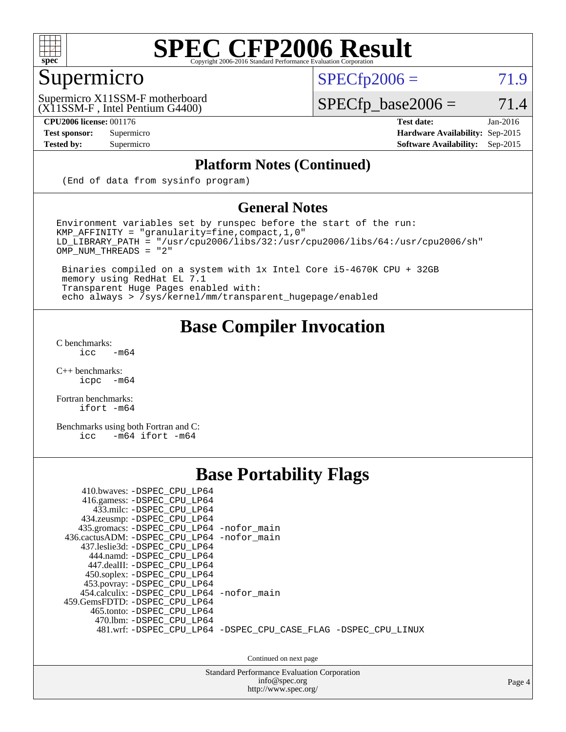

### Supermicro

 $SPECTp2006 = 71.9$ 

(X11SSM-F , Intel Pentium G4400) Supermicro X11SSM-F motherboard

 $SPECfp\_base2006 = 71.4$ 

**[CPU2006 license:](http://www.spec.org/auto/cpu2006/Docs/result-fields.html#CPU2006license)** 001176 **[Test date:](http://www.spec.org/auto/cpu2006/Docs/result-fields.html#Testdate)** Jan-2016

**[Test sponsor:](http://www.spec.org/auto/cpu2006/Docs/result-fields.html#Testsponsor)** Supermicro **[Hardware Availability:](http://www.spec.org/auto/cpu2006/Docs/result-fields.html#HardwareAvailability)** Sep-2015 **[Tested by:](http://www.spec.org/auto/cpu2006/Docs/result-fields.html#Testedby)** Supermicro **Supermicro [Software Availability:](http://www.spec.org/auto/cpu2006/Docs/result-fields.html#SoftwareAvailability)** Sep-2015

### **[Platform Notes \(Continued\)](http://www.spec.org/auto/cpu2006/Docs/result-fields.html#PlatformNotes)**

(End of data from sysinfo program)

### **[General Notes](http://www.spec.org/auto/cpu2006/Docs/result-fields.html#GeneralNotes)**

Environment variables set by runspec before the start of the run: KMP\_AFFINITY = "granularity=fine,compact,1,0"  $LD$ \_LIBRARY\_PATH = "/usr/cpu2006/libs/32:/usr/cpu2006/libs/64:/usr/cpu2006/sh" OMP\_NUM\_THREADS = "2"

 Binaries compiled on a system with 1x Intel Core i5-4670K CPU + 32GB memory using RedHat EL 7.1 Transparent Huge Pages enabled with: echo always > /sys/kernel/mm/transparent\_hugepage/enabled

### **[Base Compiler Invocation](http://www.spec.org/auto/cpu2006/Docs/result-fields.html#BaseCompilerInvocation)**

[C benchmarks](http://www.spec.org/auto/cpu2006/Docs/result-fields.html#Cbenchmarks):  $\text{icc}$  -m64

 $C++$  benchmarks:<br>icpc  $-m$ -m64

[Fortran benchmarks](http://www.spec.org/auto/cpu2006/Docs/result-fields.html#Fortranbenchmarks): [ifort -m64](http://www.spec.org/cpu2006/results/res2016q1/cpu2006-20160107-38625.flags.html#user_FCbase_intel_ifort_64bit_ee9d0fb25645d0210d97eb0527dcc06e)

[Benchmarks using both Fortran and C](http://www.spec.org/auto/cpu2006/Docs/result-fields.html#BenchmarksusingbothFortranandC): [icc -m64](http://www.spec.org/cpu2006/results/res2016q1/cpu2006-20160107-38625.flags.html#user_CC_FCbase_intel_icc_64bit_0b7121f5ab7cfabee23d88897260401c) [ifort -m64](http://www.spec.org/cpu2006/results/res2016q1/cpu2006-20160107-38625.flags.html#user_CC_FCbase_intel_ifort_64bit_ee9d0fb25645d0210d97eb0527dcc06e)

### **[Base Portability Flags](http://www.spec.org/auto/cpu2006/Docs/result-fields.html#BasePortabilityFlags)**

| 410.bwaves: -DSPEC CPU LP64<br>416.gamess: -DSPEC_CPU_LP64<br>433.milc: -DSPEC CPU LP64<br>434.zeusmp: -DSPEC_CPU_LP64<br>435.gromacs: -DSPEC_CPU_LP64 -nofor_main<br>436.cactusADM: -DSPEC CPU LP64 -nofor main<br>437.leslie3d: -DSPEC CPU LP64<br>444.namd: -DSPEC CPU LP64<br>447.dealII: -DSPEC CPU LP64 |                                                                |
|---------------------------------------------------------------------------------------------------------------------------------------------------------------------------------------------------------------------------------------------------------------------------------------------------------------|----------------------------------------------------------------|
| 450.soplex: -DSPEC_CPU_LP64<br>453.povray: -DSPEC_CPU_LP64<br>454.calculix: - DSPEC CPU LP64 - nofor main<br>459. GemsFDTD: - DSPEC CPU LP64<br>465.tonto: - DSPEC_CPU LP64<br>470.1bm: -DSPEC CPU LP64                                                                                                       | 481.wrf: -DSPEC CPU_LP64 -DSPEC_CPU_CASE_FLAG -DSPEC_CPU_LINUX |

Continued on next page

Standard Performance Evaluation Corporation [info@spec.org](mailto:info@spec.org) <http://www.spec.org/>

Page 4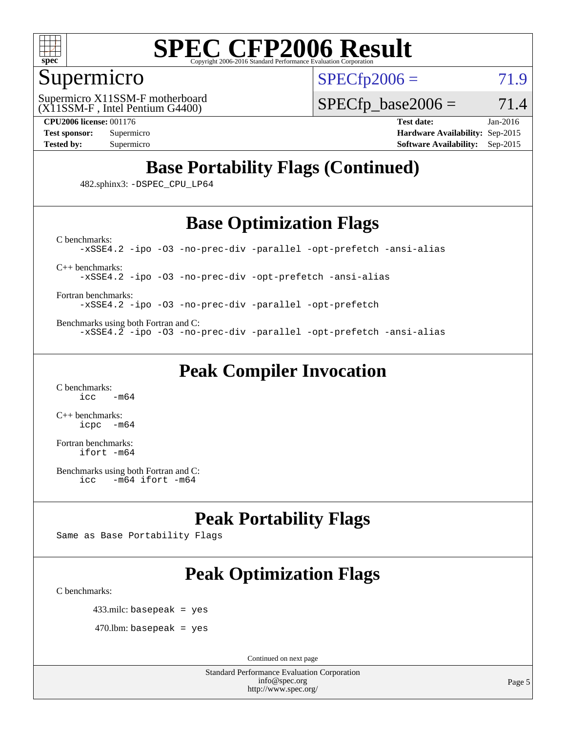

### Supermicro

 $SPECTp2006 = 71.9$ 

(X11SSM-F , Intel Pentium G4400) Supermicro X11SSM-F motherboard  $SPECfp\_base2006 = 71.4$ 

**[CPU2006 license:](http://www.spec.org/auto/cpu2006/Docs/result-fields.html#CPU2006license)** 001176 **[Test date:](http://www.spec.org/auto/cpu2006/Docs/result-fields.html#Testdate)** Jan-2016 **[Test sponsor:](http://www.spec.org/auto/cpu2006/Docs/result-fields.html#Testsponsor)** Supermicro **[Hardware Availability:](http://www.spec.org/auto/cpu2006/Docs/result-fields.html#HardwareAvailability)** Sep-2015 **[Tested by:](http://www.spec.org/auto/cpu2006/Docs/result-fields.html#Testedby)** Supermicro **Supermicro [Software Availability:](http://www.spec.org/auto/cpu2006/Docs/result-fields.html#SoftwareAvailability)** Sep-2015

## **[Base Portability Flags \(Continued\)](http://www.spec.org/auto/cpu2006/Docs/result-fields.html#BasePortabilityFlags)**

482.sphinx3: [-DSPEC\\_CPU\\_LP64](http://www.spec.org/cpu2006/results/res2016q1/cpu2006-20160107-38625.flags.html#suite_basePORTABILITY482_sphinx3_DSPEC_CPU_LP64)

## **[Base Optimization Flags](http://www.spec.org/auto/cpu2006/Docs/result-fields.html#BaseOptimizationFlags)**

[-xSSE4.2](http://www.spec.org/cpu2006/results/res2016q1/cpu2006-20160107-38625.flags.html#user_CCbase_f-xSSE42_f91528193cf0b216347adb8b939d4107) [-ipo](http://www.spec.org/cpu2006/results/res2016q1/cpu2006-20160107-38625.flags.html#user_CCbase_f-ipo) [-O3](http://www.spec.org/cpu2006/results/res2016q1/cpu2006-20160107-38625.flags.html#user_CCbase_f-O3) [-no-prec-div](http://www.spec.org/cpu2006/results/res2016q1/cpu2006-20160107-38625.flags.html#user_CCbase_f-no-prec-div) [-parallel](http://www.spec.org/cpu2006/results/res2016q1/cpu2006-20160107-38625.flags.html#user_CCbase_f-parallel) [-opt-prefetch](http://www.spec.org/cpu2006/results/res2016q1/cpu2006-20160107-38625.flags.html#user_CCbase_f-opt-prefetch) [-ansi-alias](http://www.spec.org/cpu2006/results/res2016q1/cpu2006-20160107-38625.flags.html#user_CCbase_f-ansi-alias)

[C++ benchmarks:](http://www.spec.org/auto/cpu2006/Docs/result-fields.html#CXXbenchmarks)

[C benchmarks](http://www.spec.org/auto/cpu2006/Docs/result-fields.html#Cbenchmarks):

[-xSSE4.2](http://www.spec.org/cpu2006/results/res2016q1/cpu2006-20160107-38625.flags.html#user_CXXbase_f-xSSE42_f91528193cf0b216347adb8b939d4107) [-ipo](http://www.spec.org/cpu2006/results/res2016q1/cpu2006-20160107-38625.flags.html#user_CXXbase_f-ipo) [-O3](http://www.spec.org/cpu2006/results/res2016q1/cpu2006-20160107-38625.flags.html#user_CXXbase_f-O3) [-no-prec-div](http://www.spec.org/cpu2006/results/res2016q1/cpu2006-20160107-38625.flags.html#user_CXXbase_f-no-prec-div) [-opt-prefetch](http://www.spec.org/cpu2006/results/res2016q1/cpu2006-20160107-38625.flags.html#user_CXXbase_f-opt-prefetch) [-ansi-alias](http://www.spec.org/cpu2006/results/res2016q1/cpu2006-20160107-38625.flags.html#user_CXXbase_f-ansi-alias)

[Fortran benchmarks](http://www.spec.org/auto/cpu2006/Docs/result-fields.html#Fortranbenchmarks):

[-xSSE4.2](http://www.spec.org/cpu2006/results/res2016q1/cpu2006-20160107-38625.flags.html#user_FCbase_f-xSSE42_f91528193cf0b216347adb8b939d4107) [-ipo](http://www.spec.org/cpu2006/results/res2016q1/cpu2006-20160107-38625.flags.html#user_FCbase_f-ipo) [-O3](http://www.spec.org/cpu2006/results/res2016q1/cpu2006-20160107-38625.flags.html#user_FCbase_f-O3) [-no-prec-div](http://www.spec.org/cpu2006/results/res2016q1/cpu2006-20160107-38625.flags.html#user_FCbase_f-no-prec-div) [-parallel](http://www.spec.org/cpu2006/results/res2016q1/cpu2006-20160107-38625.flags.html#user_FCbase_f-parallel) [-opt-prefetch](http://www.spec.org/cpu2006/results/res2016q1/cpu2006-20160107-38625.flags.html#user_FCbase_f-opt-prefetch)

[Benchmarks using both Fortran and C](http://www.spec.org/auto/cpu2006/Docs/result-fields.html#BenchmarksusingbothFortranandC): [-xSSE4.2](http://www.spec.org/cpu2006/results/res2016q1/cpu2006-20160107-38625.flags.html#user_CC_FCbase_f-xSSE42_f91528193cf0b216347adb8b939d4107) [-ipo](http://www.spec.org/cpu2006/results/res2016q1/cpu2006-20160107-38625.flags.html#user_CC_FCbase_f-ipo) [-O3](http://www.spec.org/cpu2006/results/res2016q1/cpu2006-20160107-38625.flags.html#user_CC_FCbase_f-O3) [-no-prec-div](http://www.spec.org/cpu2006/results/res2016q1/cpu2006-20160107-38625.flags.html#user_CC_FCbase_f-no-prec-div) [-parallel](http://www.spec.org/cpu2006/results/res2016q1/cpu2006-20160107-38625.flags.html#user_CC_FCbase_f-parallel) [-opt-prefetch](http://www.spec.org/cpu2006/results/res2016q1/cpu2006-20160107-38625.flags.html#user_CC_FCbase_f-opt-prefetch) [-ansi-alias](http://www.spec.org/cpu2006/results/res2016q1/cpu2006-20160107-38625.flags.html#user_CC_FCbase_f-ansi-alias)

**[Peak Compiler Invocation](http://www.spec.org/auto/cpu2006/Docs/result-fields.html#PeakCompilerInvocation)**

[C benchmarks](http://www.spec.org/auto/cpu2006/Docs/result-fields.html#Cbenchmarks):  $\text{icc}$   $-\text{m64}$ 

[C++ benchmarks:](http://www.spec.org/auto/cpu2006/Docs/result-fields.html#CXXbenchmarks) [icpc -m64](http://www.spec.org/cpu2006/results/res2016q1/cpu2006-20160107-38625.flags.html#user_CXXpeak_intel_icpc_64bit_bedb90c1146cab66620883ef4f41a67e)

[Fortran benchmarks](http://www.spec.org/auto/cpu2006/Docs/result-fields.html#Fortranbenchmarks): [ifort -m64](http://www.spec.org/cpu2006/results/res2016q1/cpu2006-20160107-38625.flags.html#user_FCpeak_intel_ifort_64bit_ee9d0fb25645d0210d97eb0527dcc06e)

[Benchmarks using both Fortran and C](http://www.spec.org/auto/cpu2006/Docs/result-fields.html#BenchmarksusingbothFortranandC): [icc -m64](http://www.spec.org/cpu2006/results/res2016q1/cpu2006-20160107-38625.flags.html#user_CC_FCpeak_intel_icc_64bit_0b7121f5ab7cfabee23d88897260401c) [ifort -m64](http://www.spec.org/cpu2006/results/res2016q1/cpu2006-20160107-38625.flags.html#user_CC_FCpeak_intel_ifort_64bit_ee9d0fb25645d0210d97eb0527dcc06e)

### **[Peak Portability Flags](http://www.spec.org/auto/cpu2006/Docs/result-fields.html#PeakPortabilityFlags)**

Same as Base Portability Flags

## **[Peak Optimization Flags](http://www.spec.org/auto/cpu2006/Docs/result-fields.html#PeakOptimizationFlags)**

[C benchmarks](http://www.spec.org/auto/cpu2006/Docs/result-fields.html#Cbenchmarks):

433.milc: basepeak = yes

 $470.$ lbm: basepeak = yes

Continued on next page

Standard Performance Evaluation Corporation [info@spec.org](mailto:info@spec.org) <http://www.spec.org/>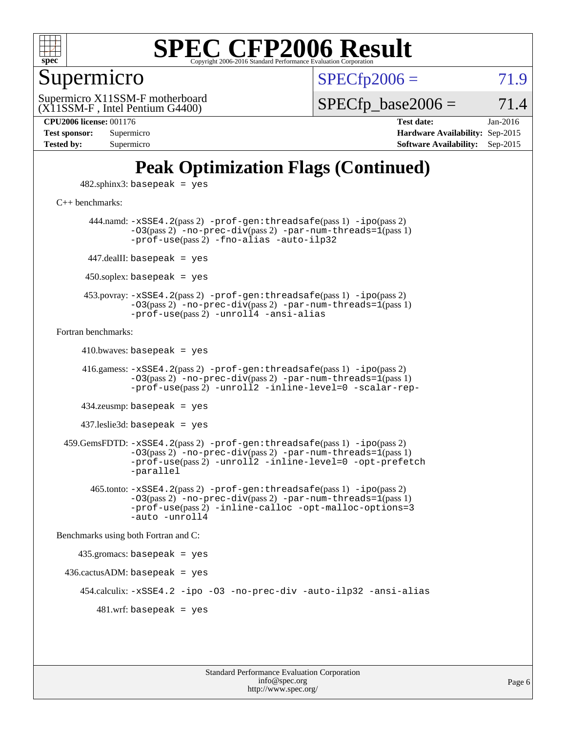

Supermicro

 $SPECTp2006 = 71.9$ 

(X11SSM-F , Intel Pentium G4400) Supermicro X11SSM-F motherboard  $SPECTp\_base2006 = 71.4$ 

**[Tested by:](http://www.spec.org/auto/cpu2006/Docs/result-fields.html#Testedby)** Supermicro **[Software Availability:](http://www.spec.org/auto/cpu2006/Docs/result-fields.html#SoftwareAvailability)** Sep-2015

**[CPU2006 license:](http://www.spec.org/auto/cpu2006/Docs/result-fields.html#CPU2006license)** 001176 **[Test date:](http://www.spec.org/auto/cpu2006/Docs/result-fields.html#Testdate)** Jan-2016 **[Test sponsor:](http://www.spec.org/auto/cpu2006/Docs/result-fields.html#Testsponsor)** Supermicro **[Hardware Availability:](http://www.spec.org/auto/cpu2006/Docs/result-fields.html#HardwareAvailability)** Sep-2015

## **[Peak Optimization Flags \(Continued\)](http://www.spec.org/auto/cpu2006/Docs/result-fields.html#PeakOptimizationFlags)**

 $482$ .sphinx $3$ : basepeak = yes

[C++ benchmarks:](http://www.spec.org/auto/cpu2006/Docs/result-fields.html#CXXbenchmarks)

 444.namd: [-xSSE4.2](http://www.spec.org/cpu2006/results/res2016q1/cpu2006-20160107-38625.flags.html#user_peakPASS2_CXXFLAGSPASS2_LDFLAGS444_namd_f-xSSE42_f91528193cf0b216347adb8b939d4107)(pass 2) [-prof-gen:threadsafe](http://www.spec.org/cpu2006/results/res2016q1/cpu2006-20160107-38625.flags.html#user_peakPASS1_CXXFLAGSPASS1_LDFLAGS444_namd_prof_gen_21a26eb79f378b550acd7bec9fe4467a)(pass 1) [-ipo](http://www.spec.org/cpu2006/results/res2016q1/cpu2006-20160107-38625.flags.html#user_peakPASS2_CXXFLAGSPASS2_LDFLAGS444_namd_f-ipo)(pass 2) [-O3](http://www.spec.org/cpu2006/results/res2016q1/cpu2006-20160107-38625.flags.html#user_peakPASS2_CXXFLAGSPASS2_LDFLAGS444_namd_f-O3)(pass 2) [-no-prec-div](http://www.spec.org/cpu2006/results/res2016q1/cpu2006-20160107-38625.flags.html#user_peakPASS2_CXXFLAGSPASS2_LDFLAGS444_namd_f-no-prec-div)(pass 2) [-par-num-threads=1](http://www.spec.org/cpu2006/results/res2016q1/cpu2006-20160107-38625.flags.html#user_peakPASS1_CXXFLAGSPASS1_LDFLAGS444_namd_par_num_threads_786a6ff141b4e9e90432e998842df6c2)(pass 1) [-prof-use](http://www.spec.org/cpu2006/results/res2016q1/cpu2006-20160107-38625.flags.html#user_peakPASS2_CXXFLAGSPASS2_LDFLAGS444_namd_prof_use_bccf7792157ff70d64e32fe3e1250b55)(pass 2) [-fno-alias](http://www.spec.org/cpu2006/results/res2016q1/cpu2006-20160107-38625.flags.html#user_peakCXXOPTIMIZEOPTIMIZE444_namd_f-no-alias_694e77f6c5a51e658e82ccff53a9e63a) [-auto-ilp32](http://www.spec.org/cpu2006/results/res2016q1/cpu2006-20160107-38625.flags.html#user_peakCXXOPTIMIZE444_namd_f-auto-ilp32) 447.dealII: basepeak = yes  $450$ .soplex: basepeak = yes 453.povray: [-xSSE4.2](http://www.spec.org/cpu2006/results/res2016q1/cpu2006-20160107-38625.flags.html#user_peakPASS2_CXXFLAGSPASS2_LDFLAGS453_povray_f-xSSE42_f91528193cf0b216347adb8b939d4107)(pass 2) [-prof-gen:threadsafe](http://www.spec.org/cpu2006/results/res2016q1/cpu2006-20160107-38625.flags.html#user_peakPASS1_CXXFLAGSPASS1_LDFLAGS453_povray_prof_gen_21a26eb79f378b550acd7bec9fe4467a)(pass 1) [-ipo](http://www.spec.org/cpu2006/results/res2016q1/cpu2006-20160107-38625.flags.html#user_peakPASS2_CXXFLAGSPASS2_LDFLAGS453_povray_f-ipo)(pass 2)  $-03$ (pass 2)  $-$ no-prec-div(pass 2)  $-$ par-num-threads=1(pass 1) [-prof-use](http://www.spec.org/cpu2006/results/res2016q1/cpu2006-20160107-38625.flags.html#user_peakPASS2_CXXFLAGSPASS2_LDFLAGS453_povray_prof_use_bccf7792157ff70d64e32fe3e1250b55)(pass 2) [-unroll4](http://www.spec.org/cpu2006/results/res2016q1/cpu2006-20160107-38625.flags.html#user_peakCXXOPTIMIZE453_povray_f-unroll_4e5e4ed65b7fd20bdcd365bec371b81f) [-ansi-alias](http://www.spec.org/cpu2006/results/res2016q1/cpu2006-20160107-38625.flags.html#user_peakCXXOPTIMIZE453_povray_f-ansi-alias) [Fortran benchmarks](http://www.spec.org/auto/cpu2006/Docs/result-fields.html#Fortranbenchmarks):  $410.bwaves: basepeak = yes$  416.gamess: [-xSSE4.2](http://www.spec.org/cpu2006/results/res2016q1/cpu2006-20160107-38625.flags.html#user_peakPASS2_FFLAGSPASS2_LDFLAGS416_gamess_f-xSSE42_f91528193cf0b216347adb8b939d4107)(pass 2) [-prof-gen:threadsafe](http://www.spec.org/cpu2006/results/res2016q1/cpu2006-20160107-38625.flags.html#user_peakPASS1_FFLAGSPASS1_LDFLAGS416_gamess_prof_gen_21a26eb79f378b550acd7bec9fe4467a)(pass 1) [-ipo](http://www.spec.org/cpu2006/results/res2016q1/cpu2006-20160107-38625.flags.html#user_peakPASS2_FFLAGSPASS2_LDFLAGS416_gamess_f-ipo)(pass 2)  $-03$ (pass 2)  $-$ no-prec-div(pass 2) [-par-num-threads=1](http://www.spec.org/cpu2006/results/res2016q1/cpu2006-20160107-38625.flags.html#user_peakPASS1_FFLAGSPASS1_LDFLAGS416_gamess_par_num_threads_786a6ff141b4e9e90432e998842df6c2)(pass 1) [-prof-use](http://www.spec.org/cpu2006/results/res2016q1/cpu2006-20160107-38625.flags.html#user_peakPASS2_FFLAGSPASS2_LDFLAGS416_gamess_prof_use_bccf7792157ff70d64e32fe3e1250b55)(pass 2) [-unroll2](http://www.spec.org/cpu2006/results/res2016q1/cpu2006-20160107-38625.flags.html#user_peakOPTIMIZE416_gamess_f-unroll_784dae83bebfb236979b41d2422d7ec2) [-inline-level=0](http://www.spec.org/cpu2006/results/res2016q1/cpu2006-20160107-38625.flags.html#user_peakOPTIMIZE416_gamess_f-inline-level_318d07a09274ad25e8d15dbfaa68ba50) [-scalar-rep-](http://www.spec.org/cpu2006/results/res2016q1/cpu2006-20160107-38625.flags.html#user_peakOPTIMIZE416_gamess_f-disablescalarrep_abbcad04450fb118e4809c81d83c8a1d) 434.zeusmp: basepeak = yes 437.leslie3d: basepeak = yes 459.GemsFDTD: [-xSSE4.2](http://www.spec.org/cpu2006/results/res2016q1/cpu2006-20160107-38625.flags.html#user_peakPASS2_FFLAGSPASS2_LDFLAGS459_GemsFDTD_f-xSSE42_f91528193cf0b216347adb8b939d4107)(pass 2) [-prof-gen:threadsafe](http://www.spec.org/cpu2006/results/res2016q1/cpu2006-20160107-38625.flags.html#user_peakPASS1_FFLAGSPASS1_LDFLAGS459_GemsFDTD_prof_gen_21a26eb79f378b550acd7bec9fe4467a)(pass 1) [-ipo](http://www.spec.org/cpu2006/results/res2016q1/cpu2006-20160107-38625.flags.html#user_peakPASS2_FFLAGSPASS2_LDFLAGS459_GemsFDTD_f-ipo)(pass 2) [-O3](http://www.spec.org/cpu2006/results/res2016q1/cpu2006-20160107-38625.flags.html#user_peakPASS2_FFLAGSPASS2_LDFLAGS459_GemsFDTD_f-O3)(pass 2) [-no-prec-div](http://www.spec.org/cpu2006/results/res2016q1/cpu2006-20160107-38625.flags.html#user_peakPASS2_FFLAGSPASS2_LDFLAGS459_GemsFDTD_f-no-prec-div)(pass 2) [-par-num-threads=1](http://www.spec.org/cpu2006/results/res2016q1/cpu2006-20160107-38625.flags.html#user_peakPASS1_FFLAGSPASS1_LDFLAGS459_GemsFDTD_par_num_threads_786a6ff141b4e9e90432e998842df6c2)(pass 1) [-prof-use](http://www.spec.org/cpu2006/results/res2016q1/cpu2006-20160107-38625.flags.html#user_peakPASS2_FFLAGSPASS2_LDFLAGS459_GemsFDTD_prof_use_bccf7792157ff70d64e32fe3e1250b55)(pass 2) [-unroll2](http://www.spec.org/cpu2006/results/res2016q1/cpu2006-20160107-38625.flags.html#user_peakOPTIMIZE459_GemsFDTD_f-unroll_784dae83bebfb236979b41d2422d7ec2) [-inline-level=0](http://www.spec.org/cpu2006/results/res2016q1/cpu2006-20160107-38625.flags.html#user_peakOPTIMIZE459_GemsFDTD_f-inline-level_318d07a09274ad25e8d15dbfaa68ba50) [-opt-prefetch](http://www.spec.org/cpu2006/results/res2016q1/cpu2006-20160107-38625.flags.html#user_peakOPTIMIZE459_GemsFDTD_f-opt-prefetch) [-parallel](http://www.spec.org/cpu2006/results/res2016q1/cpu2006-20160107-38625.flags.html#user_peakOPTIMIZE459_GemsFDTD_f-parallel) 465.tonto: [-xSSE4.2](http://www.spec.org/cpu2006/results/res2016q1/cpu2006-20160107-38625.flags.html#user_peakPASS2_FFLAGSPASS2_LDFLAGS465_tonto_f-xSSE42_f91528193cf0b216347adb8b939d4107)(pass 2) [-prof-gen:threadsafe](http://www.spec.org/cpu2006/results/res2016q1/cpu2006-20160107-38625.flags.html#user_peakPASS1_FFLAGSPASS1_LDFLAGS465_tonto_prof_gen_21a26eb79f378b550acd7bec9fe4467a)(pass 1) [-ipo](http://www.spec.org/cpu2006/results/res2016q1/cpu2006-20160107-38625.flags.html#user_peakPASS2_FFLAGSPASS2_LDFLAGS465_tonto_f-ipo)(pass 2)  $-03(pass 2)$  [-no-prec-div](http://www.spec.org/cpu2006/results/res2016q1/cpu2006-20160107-38625.flags.html#user_peakPASS2_FFLAGSPASS2_LDFLAGS465_tonto_f-no-prec-div)(pass 2) [-par-num-threads=1](http://www.spec.org/cpu2006/results/res2016q1/cpu2006-20160107-38625.flags.html#user_peakPASS1_FFLAGSPASS1_LDFLAGS465_tonto_par_num_threads_786a6ff141b4e9e90432e998842df6c2)(pass 1) [-prof-use](http://www.spec.org/cpu2006/results/res2016q1/cpu2006-20160107-38625.flags.html#user_peakPASS2_FFLAGSPASS2_LDFLAGS465_tonto_prof_use_bccf7792157ff70d64e32fe3e1250b55)(pass 2) [-inline-calloc](http://www.spec.org/cpu2006/results/res2016q1/cpu2006-20160107-38625.flags.html#user_peakOPTIMIZE465_tonto_f-inline-calloc) [-opt-malloc-options=3](http://www.spec.org/cpu2006/results/res2016q1/cpu2006-20160107-38625.flags.html#user_peakOPTIMIZE465_tonto_f-opt-malloc-options_13ab9b803cf986b4ee62f0a5998c2238) [-auto](http://www.spec.org/cpu2006/results/res2016q1/cpu2006-20160107-38625.flags.html#user_peakOPTIMIZE465_tonto_f-auto) [-unroll4](http://www.spec.org/cpu2006/results/res2016q1/cpu2006-20160107-38625.flags.html#user_peakOPTIMIZE465_tonto_f-unroll_4e5e4ed65b7fd20bdcd365bec371b81f) [Benchmarks using both Fortran and C](http://www.spec.org/auto/cpu2006/Docs/result-fields.html#BenchmarksusingbothFortranandC): 435.gromacs: basepeak = yes  $436.cactusADM: basepeak = yes$  454.calculix: [-xSSE4.2](http://www.spec.org/cpu2006/results/res2016q1/cpu2006-20160107-38625.flags.html#user_peakOPTIMIZE454_calculix_f-xSSE42_f91528193cf0b216347adb8b939d4107) [-ipo](http://www.spec.org/cpu2006/results/res2016q1/cpu2006-20160107-38625.flags.html#user_peakOPTIMIZE454_calculix_f-ipo) [-O3](http://www.spec.org/cpu2006/results/res2016q1/cpu2006-20160107-38625.flags.html#user_peakOPTIMIZE454_calculix_f-O3) [-no-prec-div](http://www.spec.org/cpu2006/results/res2016q1/cpu2006-20160107-38625.flags.html#user_peakOPTIMIZE454_calculix_f-no-prec-div) [-auto-ilp32](http://www.spec.org/cpu2006/results/res2016q1/cpu2006-20160107-38625.flags.html#user_peakCOPTIMIZE454_calculix_f-auto-ilp32) [-ansi-alias](http://www.spec.org/cpu2006/results/res2016q1/cpu2006-20160107-38625.flags.html#user_peakCOPTIMIZE454_calculix_f-ansi-alias)  $481.$ wrf: basepeak = yes